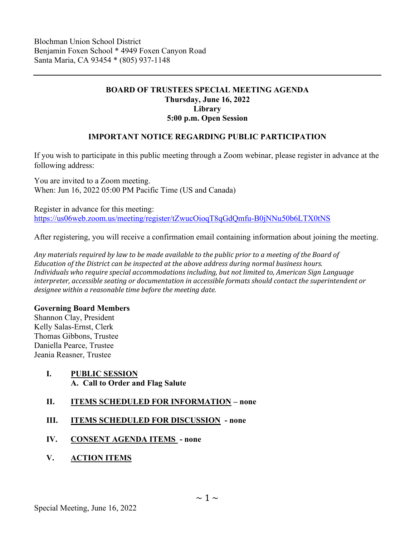# **BOARD OF TRUSTEES SPECIAL MEETING AGENDA Thursday, June 16, 2022 Library 5:00 p.m. Open Session**

# **IMPORTANT NOTICE REGARDING PUBLIC PARTICIPATION**

If you wish to participate in this public meeting through a Zoom webinar, please register in advance at the following address:

You are invited to a Zoom meeting. When: Jun 16, 2022 05:00 PM Pacific Time (US and Canada)

Register in advance for this meeting: <https://us06web.zoom.us/meeting/register/tZwucOioqT8qGdQmfu-B0jNNu50b6LTX0tNS>

After registering, you will receive a confirmation email containing information about joining the meeting.

*Any materials required by law to be made available to the public prior to a meeting of the Board of Education of the District can be inspected at the above address during normal business hours. Individuals who require special accommodations including, but not limited to, American Sign Language interpreter, accessible seating or documentation in accessible formats should contact the superintendent or designee within a reasonable time before the meeting date.*

## **Governing Board Members**

Shannon Clay, President Kelly Salas-Ernst, Clerk Thomas Gibbons, Trustee Daniella Pearce, Trustee Jeania Reasner, Trustee

- **I. PUBLIC SESSION A. Call to Order and Flag Salute**
- **II. ITEMS SCHEDULED FOR INFORMATION none**
- **III. ITEMS SCHEDULED FOR DISCUSSION none**
- **IV. CONSENT AGENDA ITEMS none**
- **V. ACTION ITEMS**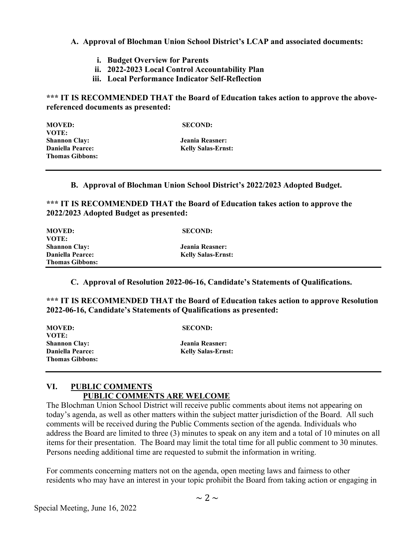## **A. Approval of Blochman Union School District's LCAP and associated documents:**

- **i. Budget Overview for Parents**
- **ii. 2022-2023 Local Control Accountability Plan**
- **iii. Local Performance Indicator Self-Reflection**

**\*\*\* IT IS RECOMMENDED THAT the Board of Education takes action to approve the abovereferenced documents as presented:**

| <b>MOVED:</b>           | <b>SECOND:</b>            |
|-------------------------|---------------------------|
| VOTE:                   |                           |
| <b>Shannon Clay:</b>    | Jeania Reasner:           |
| <b>Daniella Pearce:</b> | <b>Kelly Salas-Ernst:</b> |
| <b>Thomas Gibbons:</b>  |                           |

#### **B. Approval of Blochman Union School District's 2022/2023 Adopted Budget.**

**\*\*\* IT IS RECOMMENDED THAT the Board of Education takes action to approve the 2022/2023 Adopted Budget as presented:**

| <b>MOVED:</b>           | <b>SECOND:</b>            |
|-------------------------|---------------------------|
| VOTE: '                 |                           |
| Shannon Clay:           | Jeania Reasner:           |
| <b>Daniella Pearce:</b> | <b>Kelly Salas-Ernst:</b> |
| <b>Thomas Gibbons:</b>  |                           |

**C. Approval of Resolution 2022-06-16, Candidate's Statements of Qualifications.** 

**\*\*\* IT IS RECOMMENDED THAT the Board of Education takes action to approve Resolution 2022-06-16, Candidate's Statements of Qualifications as presented:**

| <b>MOVED:</b><br>VOTE:                            | <b>SECOND:</b>            |  |
|---------------------------------------------------|---------------------------|--|
| <b>Shannon Clay:</b>                              | Jeania Reasner:           |  |
| <b>Daniella Pearce:</b><br><b>Thomas Gibbons:</b> | <b>Kelly Salas-Ernst:</b> |  |

# **VI. PUBLIC COMMENTS PUBLIC COMMENTS ARE WELCOME**

The Blochman Union School District will receive public comments about items not appearing on today's agenda, as well as other matters within the subject matter jurisdiction of the Board. All such comments will be received during the Public Comments section of the agenda. Individuals who address the Board are limited to three (3) minutes to speak on any item and a total of 10 minutes on all items for their presentation. The Board may limit the total time for all public comment to 30 minutes. Persons needing additional time are requested to submit the information in writing.

For comments concerning matters not on the agenda, open meeting laws and fairness to other residents who may have an interest in your topic prohibit the Board from taking action or engaging in